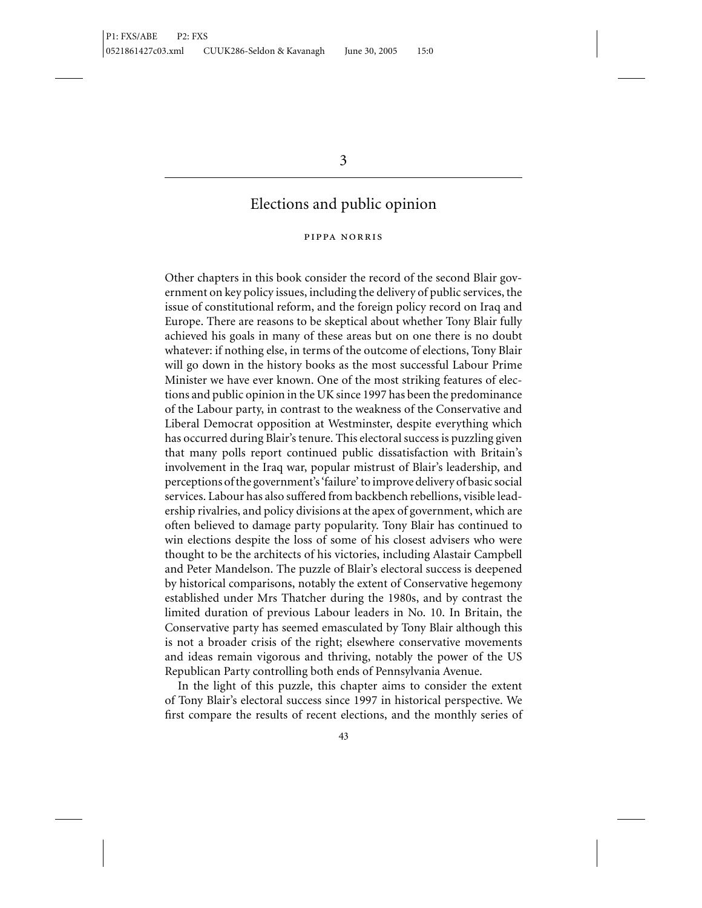3

# Elections and public opinion

pippa norris

Other chapters in this book consider the record of the second Blair government on key policy issues, including the delivery of public services, the issue of constitutional reform, and the foreign policy record on Iraq and Europe. There are reasons to be skeptical about whether Tony Blair fully achieved his goals in many of these areas but on one there is no doubt whatever: if nothing else, in terms of the outcome of elections, Tony Blair will go down in the history books as the most successful Labour Prime Minister we have ever known. One of the most striking features of elections and public opinion in the UK since 1997 has been the predominance of the Labour party, in contrast to the weakness of the Conservative and Liberal Democrat opposition at Westminster, despite everything which has occurred during Blair's tenure. This electoral success is puzzling given that many polls report continued public dissatisfaction with Britain's involvement in the Iraq war, popular mistrust of Blair's leadership, and perceptions of the government's 'failure' to improve delivery of basic social services. Labour has also suffered from backbench rebellions, visible leadership rivalries, and policy divisions at the apex of government, which are often believed to damage party popularity. Tony Blair has continued to win elections despite the loss of some of his closest advisers who were thought to be the architects of his victories, including Alastair Campbell and Peter Mandelson. The puzzle of Blair's electoral success is deepened by historical comparisons, notably the extent of Conservative hegemony established under Mrs Thatcher during the 1980s, and by contrast the limited duration of previous Labour leaders in No. 10. In Britain, the Conservative party has seemed emasculated by Tony Blair although this is not a broader crisis of the right; elsewhere conservative movements and ideas remain vigorous and thriving, notably the power of the US Republican Party controlling both ends of Pennsylvania Avenue.

In the light of this puzzle, this chapter aims to consider the extent of Tony Blair's electoral success since 1997 in historical perspective. We first compare the results of recent elections, and the monthly series of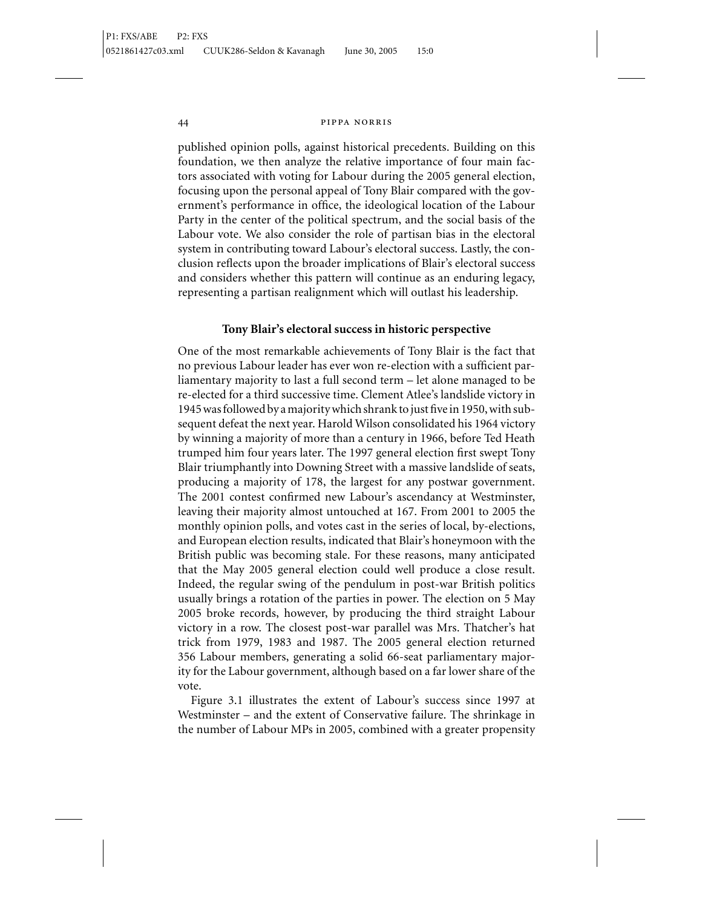published opinion polls, against historical precedents. Building on this foundation, we then analyze the relative importance of four main factors associated with voting for Labour during the 2005 general election, focusing upon the personal appeal of Tony Blair compared with the government's performance in office, the ideological location of the Labour Party in the center of the political spectrum, and the social basis of the Labour vote. We also consider the role of partisan bias in the electoral system in contributing toward Labour's electoral success. Lastly, the conclusion reflects upon the broader implications of Blair's electoral success and considers whether this pattern will continue as an enduring legacy, representing a partisan realignment which will outlast his leadership.

#### **Tony Blair's electoral success in historic perspective**

One of the most remarkable achievements of Tony Blair is the fact that no previous Labour leader has ever won re-election with a sufficient parliamentary majority to last a full second term – let alone managed to be re-elected for a third successive time. Clement Atlee's landslide victory in 1945 was followed by a majority which shrank to just five in 1950, with subsequent defeat the next year. Harold Wilson consolidated his 1964 victory by winning a majority of more than a century in 1966, before Ted Heath trumped him four years later. The 1997 general election first swept Tony Blair triumphantly into Downing Street with a massive landslide of seats, producing a majority of 178, the largest for any postwar government. The 2001 contest confirmed new Labour's ascendancy at Westminster, leaving their majority almost untouched at 167. From 2001 to 2005 the monthly opinion polls, and votes cast in the series of local, by-elections, and European election results, indicated that Blair's honeymoon with the British public was becoming stale. For these reasons, many anticipated that the May 2005 general election could well produce a close result. Indeed, the regular swing of the pendulum in post-war British politics usually brings a rotation of the parties in power. The election on 5 May 2005 broke records, however, by producing the third straight Labour victory in a row. The closest post-war parallel was Mrs. Thatcher's hat trick from 1979, 1983 and 1987. The 2005 general election returned 356 Labour members, generating a solid 66-seat parliamentary majority for the Labour government, although based on a far lower share of the vote.

Figure 3.1 illustrates the extent of Labour's success since 1997 at Westminster – and the extent of Conservative failure. The shrinkage in the number of Labour MPs in 2005, combined with a greater propensity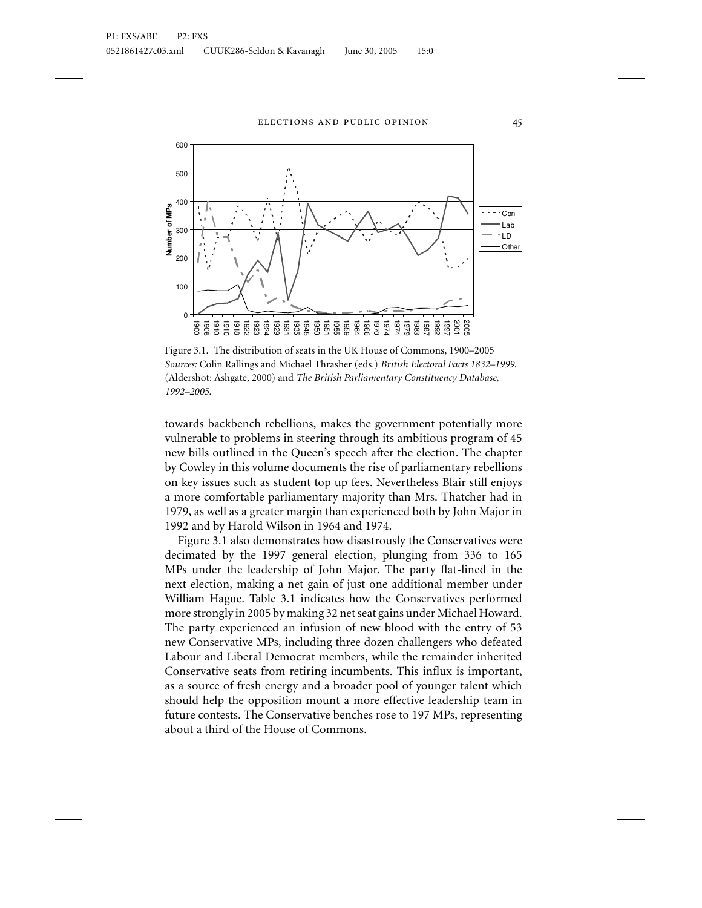

Figure 3.1. The distribution of seats in the UK House of Commons, 1900–2005 *Sources:* Colin Rallings and Michael Thrasher (eds.) *British Electoral Facts 1832–1999*. (Aldershot: Ashgate, 2000) and *The British Parliamentary Constituency Database, 1992–2005.*

towards backbench rebellions, makes the government potentially more vulnerable to problems in steering through its ambitious program of 45 new bills outlined in the Queen's speech after the election. The chapter by Cowley in this volume documents the rise of parliamentary rebellions on key issues such as student top up fees. Nevertheless Blair still enjoys a more comfortable parliamentary majority than Mrs. Thatcher had in 1979, as well as a greater margin than experienced both by John Major in 1992 and by Harold Wilson in 1964 and 1974.

Figure 3.1 also demonstrates how disastrously the Conservatives were decimated by the 1997 general election, plunging from 336 to 165 MPs under the leadership of John Major. The party flat-lined in the next election, making a net gain of just one additional member under William Hague. Table 3.1 indicates how the Conservatives performed more strongly in 2005 by making 32 net seat gains under Michael Howard. The party experienced an infusion of new blood with the entry of 53 new Conservative MPs, including three dozen challengers who defeated Labour and Liberal Democrat members, while the remainder inherited Conservative seats from retiring incumbents. This influx is important, as a source of fresh energy and a broader pool of younger talent which should help the opposition mount a more effective leadership team in future contests. The Conservative benches rose to 197 MPs, representing about a third of the House of Commons.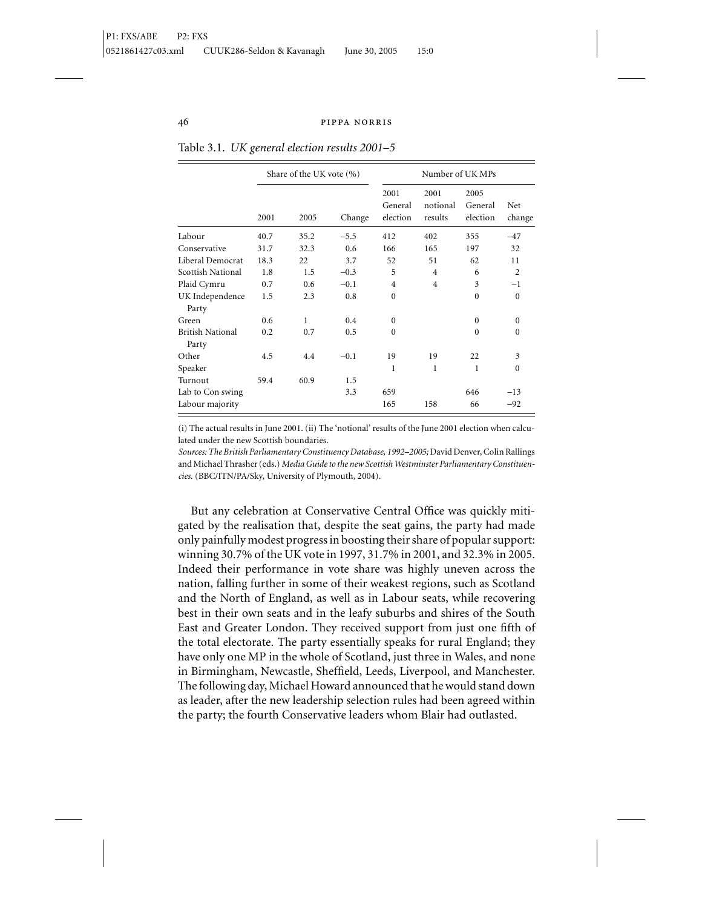| Table 3.1. UK general election results 2001–5 |  |  |  |  |  |
|-----------------------------------------------|--|--|--|--|--|
|-----------------------------------------------|--|--|--|--|--|

|                                  |      | Share of the UK vote (%) |        |                             | Number of UK MPs            |                             |               |
|----------------------------------|------|--------------------------|--------|-----------------------------|-----------------------------|-----------------------------|---------------|
|                                  | 2001 | 2005                     | Change | 2001<br>General<br>election | 2001<br>notional<br>results | 2005<br>General<br>election | Net<br>change |
| Labour                           | 40.7 | 35.2                     | $-5.5$ | 412                         | 402                         | 355                         | $-47$         |
| Conservative                     | 31.7 | 32.3                     | 0.6    | 166                         | 165                         | 197                         | 32            |
| Liberal Democrat                 | 18.3 | 22                       | 3.7    | 52                          | 51                          | 62                          | 11            |
| Scottish National                | 1.8  | 1.5                      | $-0.3$ | 5                           | $\overline{4}$              | 6                           | 2             |
| Plaid Cymru                      | 0.7  | 0.6                      | $-0.1$ | $\overline{4}$              | $\overline{4}$              | 3                           | $^{-1}$       |
| UK Independence<br>Party         | 1.5  | 2.3                      | 0.8    | $\Omega$                    |                             | $\mathbf{0}$                | $\mathbf{0}$  |
| Green                            | 0.6  | 1                        | 0.4    | $\Omega$                    |                             | $\mathbf{0}$                | $\mathbf{0}$  |
| <b>British National</b><br>Party | 0.2  | 0.7                      | 0.5    | $\Omega$                    |                             | $\Omega$                    | $\Omega$      |
| Other                            | 4.5  | 4.4                      | $-0.1$ | 19                          | 19                          | 22                          | 3             |
| Speaker                          |      |                          |        | 1                           | 1                           | 1                           | $\mathbf{0}$  |
| Turnout                          | 59.4 | 60.9                     | 1.5    |                             |                             |                             |               |
| Lab to Con swing                 |      |                          | 3.3    | 659                         |                             | 646                         | $-13$         |
| Labour majority                  |      |                          |        | 165                         | 158                         | 66                          | $-92$         |

(i) The actual results in June 2001. (ii) The 'notional' results of the June 2001 election when calculated under the new Scottish boundaries.

*Sources: The British Parliamentary Constituency Database, 1992–2005;* David Denver, Colin Rallings and Michael Thrasher (eds.) *Media Guide to the new Scottish Westminster Parliamentary Constituencies.* (BBC/ITN/PA/Sky, University of Plymouth, 2004).

But any celebration at Conservative Central Office was quickly mitigated by the realisation that, despite the seat gains, the party had made only painfully modest progress in boosting their share of popular support: winning 30.7% of the UK vote in 1997, 31.7% in 2001, and 32.3% in 2005. Indeed their performance in vote share was highly uneven across the nation, falling further in some of their weakest regions, such as Scotland and the North of England, as well as in Labour seats, while recovering best in their own seats and in the leafy suburbs and shires of the South East and Greater London. They received support from just one fifth of the total electorate. The party essentially speaks for rural England; they have only one MP in the whole of Scotland, just three in Wales, and none in Birmingham, Newcastle, Sheffield, Leeds, Liverpool, and Manchester. The following day, Michael Howard announced that he would stand down as leader, after the new leadership selection rules had been agreed within the party; the fourth Conservative leaders whom Blair had outlasted.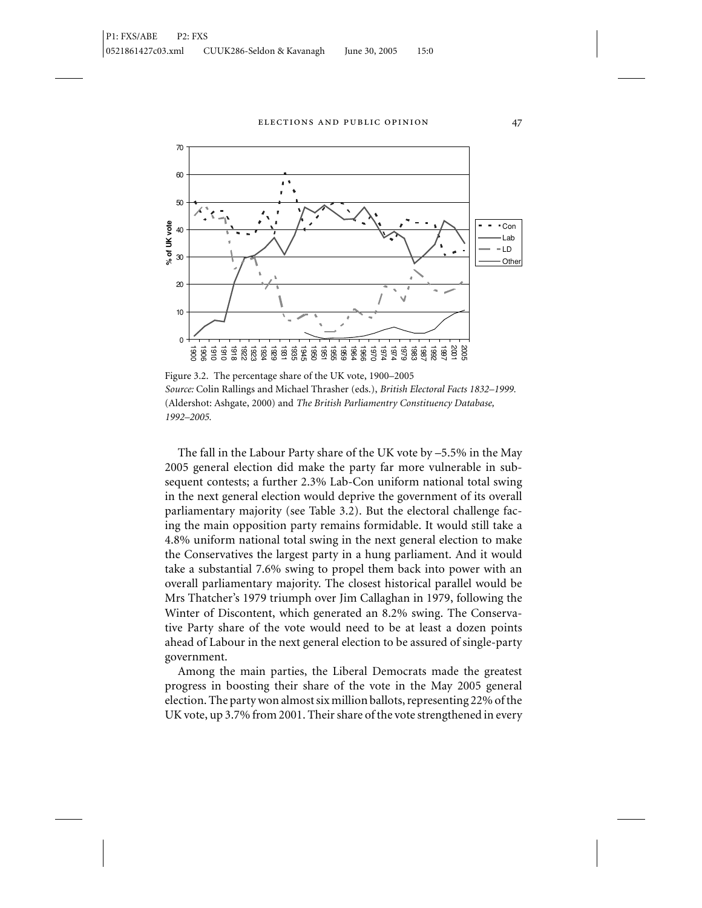

Figure 3.2. The percentage share of the UK vote, 1900–2005 *Source:* Colin Rallings and Michael Thrasher (eds.), *British Electoral Facts 1832–1999.* (Aldershot: Ashgate, 2000) and *The British Parliamentry Constituency Database, 1992–2005.*

The fall in the Labour Party share of the UK vote by –5.5% in the May 2005 general election did make the party far more vulnerable in subsequent contests; a further 2.3% Lab-Con uniform national total swing in the next general election would deprive the government of its overall parliamentary majority (see Table 3.2). But the electoral challenge facing the main opposition party remains formidable. It would still take a 4.8% uniform national total swing in the next general election to make the Conservatives the largest party in a hung parliament. And it would take a substantial 7.6% swing to propel them back into power with an overall parliamentary majority. The closest historical parallel would be Mrs Thatcher's 1979 triumph over Jim Callaghan in 1979, following the Winter of Discontent, which generated an 8.2% swing. The Conservative Party share of the vote would need to be at least a dozen points ahead of Labour in the next general election to be assured of single-party government.

Among the main parties, the Liberal Democrats made the greatest progress in boosting their share of the vote in the May 2005 general election. The party won almost six million ballots, representing 22% of the UK vote, up 3.7% from 2001. Their share of the vote strengthened in every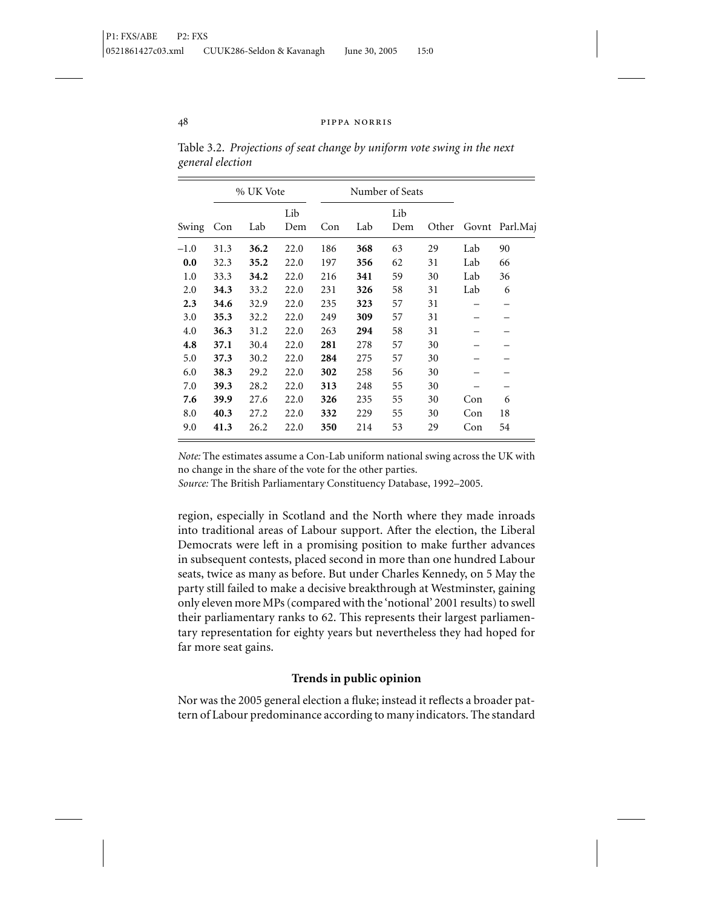|        |      | % UK Vote |            |     |     | Number of Seats |       |       |          |
|--------|------|-----------|------------|-----|-----|-----------------|-------|-------|----------|
| Swing  | Con  | Lab       | Lib<br>Dem | Con | Lab | Lib<br>Dem      | Other | Govnt | Parl.Maj |
| $-1.0$ | 31.3 | 36.2      | 22.0       | 186 | 368 | 63              | 29    | Lab   | 90       |
| 0.0    | 32.3 | 35.2      | 22.0       | 197 | 356 | 62              | 31    | Lab   | 66       |
| 1.0    | 33.3 | 34.2      | 22.0       | 216 | 341 | 59              | 30    | Lab   | 36       |
| 2.0    | 34.3 | 33.2      | 22.0       | 231 | 326 | 58              | 31    | Lab   | 6        |
| 2.3    | 34.6 | 32.9      | 22.0       | 235 | 323 | 57              | 31    |       |          |
| 3.0    | 35.3 | 32.2      | 22.0       | 249 | 309 | 57              | 31    |       |          |
| 4.0    | 36.3 | 31.2      | 22.0       | 263 | 294 | 58              | 31    |       |          |
| 4.8    | 37.1 | 30.4      | 22.0       | 281 | 278 | 57              | 30    |       |          |
| 5.0    | 37.3 | 30.2      | 22.0       | 284 | 275 | 57              | 30    |       |          |
| 6.0    | 38.3 | 29.2      | 22.0       | 302 | 258 | 56              | 30    |       |          |
| 7.0    | 39.3 | 28.2      | 22.0       | 313 | 248 | 55              | 30    |       |          |
| 7.6    | 39.9 | 27.6      | 22.0       | 326 | 235 | 55              | 30    | Con   | 6        |
| 8.0    | 40.3 | 27.2      | 22.0       | 332 | 229 | 55              | 30    | Con   | 18       |
| 9.0    | 41.3 | 26.2      | 22.0       | 350 | 214 | 53              | 29    | Con   | 54       |

Table 3.2. *Projections of seat change by uniform vote swing in the next general election*

*Note:* The estimates assume a Con-Lab uniform national swing across the UK with no change in the share of the vote for the other parties.

*Source:* The British Parliamentary Constituency Database, 1992–2005.

region, especially in Scotland and the North where they made inroads into traditional areas of Labour support. After the election, the Liberal Democrats were left in a promising position to make further advances in subsequent contests, placed second in more than one hundred Labour seats, twice as many as before. But under Charles Kennedy, on 5 May the party still failed to make a decisive breakthrough at Westminster, gaining only eleven more MPs (compared with the 'notional' 2001 results) to swell their parliamentary ranks to 62. This represents their largest parliamentary representation for eighty years but nevertheless they had hoped for far more seat gains.

## **Trends in public opinion**

Nor was the 2005 general election a fluke; instead it reflects a broader pattern of Labour predominance according to many indicators. The standard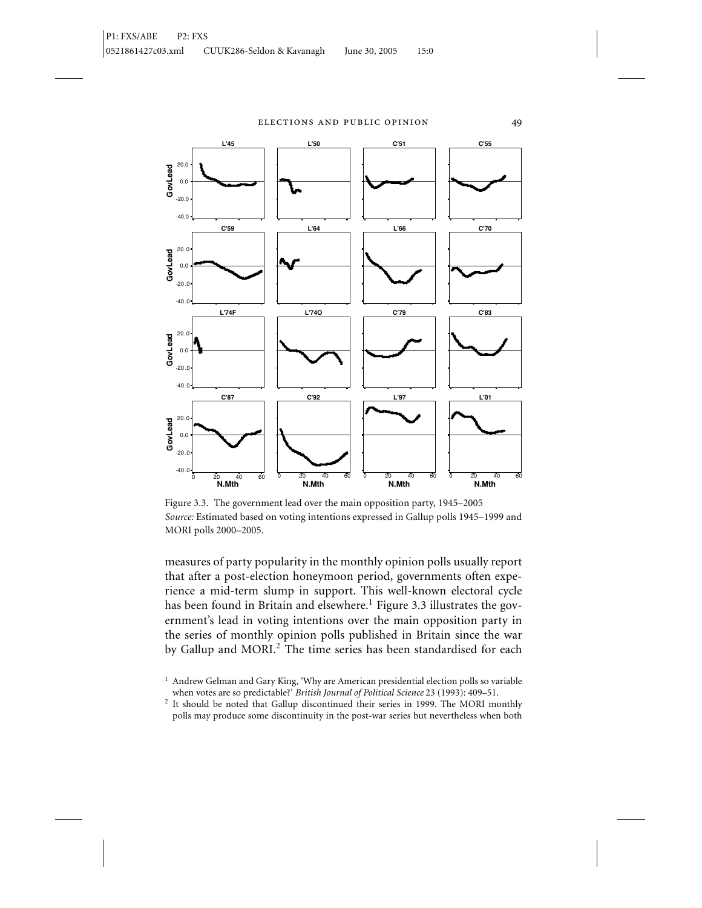

Figure 3.3. The government lead over the main opposition party, 1945–2005 *Source:* Estimated based on voting intentions expressed in Gallup polls 1945–1999 and MORI polls 2000–2005.

measures of party popularity in the monthly opinion polls usually report that after a post-election honeymoon period, governments often experience a mid-term slump in support. This well-known electoral cycle has been found in Britain and elsewhere.<sup>1</sup> Figure 3.3 illustrates the government's lead in voting intentions over the main opposition party in the series of monthly opinion polls published in Britain since the war by Gallup and MORI.<sup>2</sup> The time series has been standardised for each

<sup>&</sup>lt;sup>1</sup> Andrew Gelman and Gary King, 'Why are American presidential election polls so variable when votes are so predictable?' *British Journal of Political Science* 23 (1993): 409–51.

<sup>2</sup> It should be noted that Gallup discontinued their series in 1999. The MORI monthly polls may produce some discontinuity in the post-war series but nevertheless when both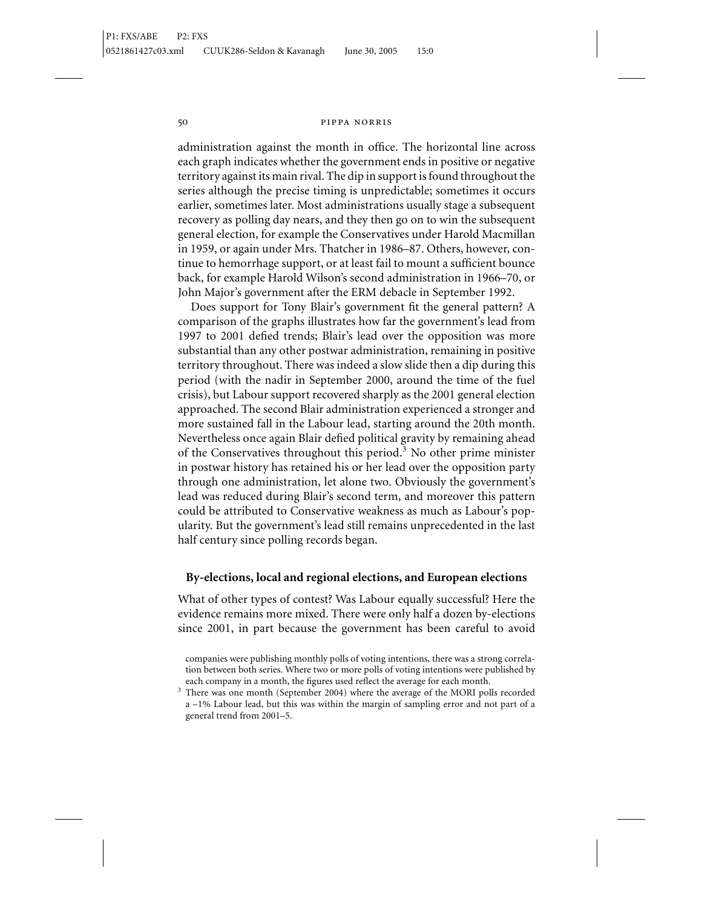#### 50 **pippa NORRIS**

administration against the month in office. The horizontal line across each graph indicates whether the government ends in positive or negative territory against its main rival. The dip in support is found throughout the series although the precise timing is unpredictable; sometimes it occurs earlier, sometimes later. Most administrations usually stage a subsequent recovery as polling day nears, and they then go on to win the subsequent general election, for example the Conservatives under Harold Macmillan in 1959, or again under Mrs. Thatcher in 1986–87. Others, however, continue to hemorrhage support, or at least fail to mount a sufficient bounce back, for example Harold Wilson's second administration in 1966–70, or John Major's government after the ERM debacle in September 1992.

Does support for Tony Blair's government fit the general pattern? A comparison of the graphs illustrates how far the government's lead from 1997 to 2001 defied trends; Blair's lead over the opposition was more substantial than any other postwar administration, remaining in positive territory throughout. There was indeed a slow slide then a dip during this period (with the nadir in September 2000, around the time of the fuel crisis), but Labour support recovered sharply as the 2001 general election approached. The second Blair administration experienced a stronger and more sustained fall in the Labour lead, starting around the 20th month. Nevertheless once again Blair defied political gravity by remaining ahead of the Conservatives throughout this period.<sup>3</sup> No other prime minister in postwar history has retained his or her lead over the opposition party through one administration, let alone two. Obviously the government's lead was reduced during Blair's second term, and moreover this pattern could be attributed to Conservative weakness as much as Labour's popularity. But the government's lead still remains unprecedented in the last half century since polling records began.

#### **By-elections, local and regional elections, and European elections**

What of other types of contest? Was Labour equally successful? Here the evidence remains more mixed. There were only half a dozen by-elections since 2001, in part because the government has been careful to avoid

companies were publishing monthly polls of voting intentions, there was a strong correlation between both series. Where two or more polls of voting intentions were published by each company in a month, the figures used reflect the average for each month.

<sup>&</sup>lt;sup>3</sup> There was one month (September 2004) where the average of the MORI polls recorded a –1% Labour lead, but this was within the margin of sampling error and not part of a general trend from 2001–5.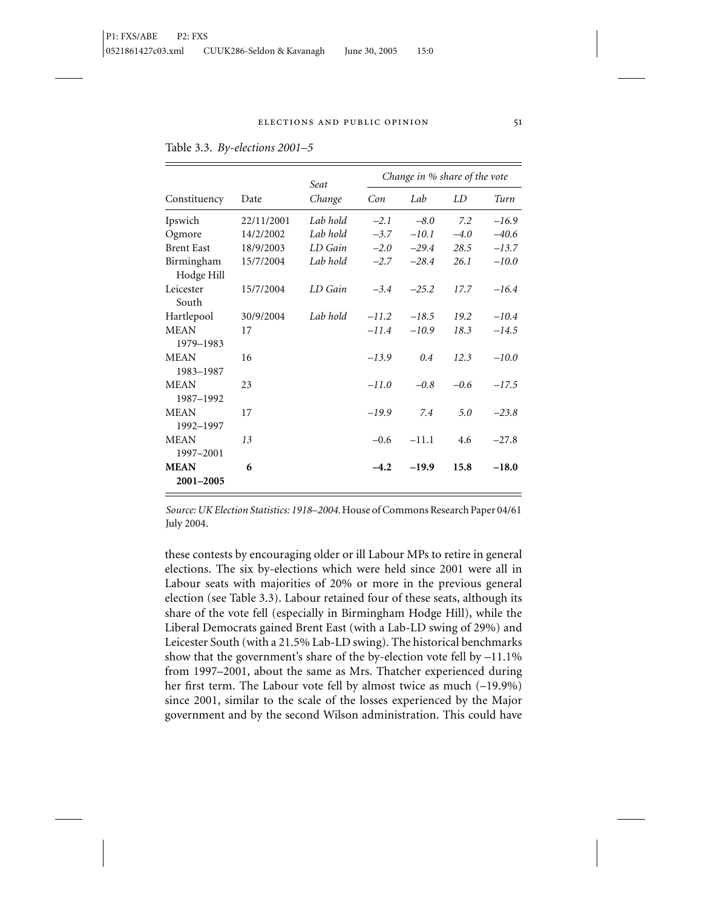|                          |            | Seat     |         | Change in % share of the vote |        |         |
|--------------------------|------------|----------|---------|-------------------------------|--------|---------|
| Constituency             | Date       | Change   | Con     | Lab                           | LD     | Turn    |
| Ipswich                  | 22/11/2001 | Lab hold | $-2.1$  | $-8.0$                        | 7.2    | $-16.9$ |
| Ogmore                   | 14/2/2002  | Lab hold | $-3.7$  | $-10.1$                       | $-4.0$ | $-40.6$ |
| <b>Brent East</b>        | 18/9/2003  | LD Gain  | $-2.0$  | $-29.4$                       | 28.5   | $-13.7$ |
| Birmingham<br>Hodge Hill | 15/7/2004  | Lab hold | $-2.7$  | $-28.4$                       | 26.1   | $-10.0$ |
| Leicester<br>South       | 15/7/2004  | LD Gain  | $-3.4$  | $-25.2$                       | 17.7   | $-16.4$ |
| Hartlepool               | 30/9/2004  | Lab hold | $-11.2$ | $-18.5$                       | 19.2   | $-10.4$ |
| <b>MEAN</b><br>1979-1983 | 17         |          | $-11.4$ | $-10.9$                       | 18.3   | $-14.5$ |
| MEAN<br>1983-1987        | 16         |          | $-13.9$ | 0.4                           | 12.3   | $-10.0$ |
| <b>MEAN</b><br>1987-1992 | 23         |          | $-11.0$ | $-0.8$                        | $-0.6$ | $-17.5$ |
| MEAN<br>1992-1997        | 17         |          | $-19.9$ | 7.4                           | 5.0    | $-23.8$ |
| MEAN<br>1997-2001        | 13         |          | $-0.6$  | $-11.1$                       | 4.6    | $-27.8$ |
| <b>MEAN</b><br>2001-2005 | 6          |          | $-4.2$  | $-19.9$                       | 15.8   | $-18.0$ |

Table 3.3. *By-elections 2001–5*

*Source: UK Election Statistics: 1918–2004.*House of Commons Research Paper 04/61 July 2004.

these contests by encouraging older or ill Labour MPs to retire in general elections. The six by-elections which were held since 2001 were all in Labour seats with majorities of 20% or more in the previous general election (see Table 3.3). Labour retained four of these seats, although its share of the vote fell (especially in Birmingham Hodge Hill), while the Liberal Democrats gained Brent East (with a Lab-LD swing of 29%) and Leicester South (with a 21.5% Lab-LD swing). The historical benchmarks show that the government's share of the by-election vote fell by –11.1% from 1997–2001, about the same as Mrs. Thatcher experienced during her first term. The Labour vote fell by almost twice as much  $(-19.9\%)$ since 2001, similar to the scale of the losses experienced by the Major government and by the second Wilson administration. This could have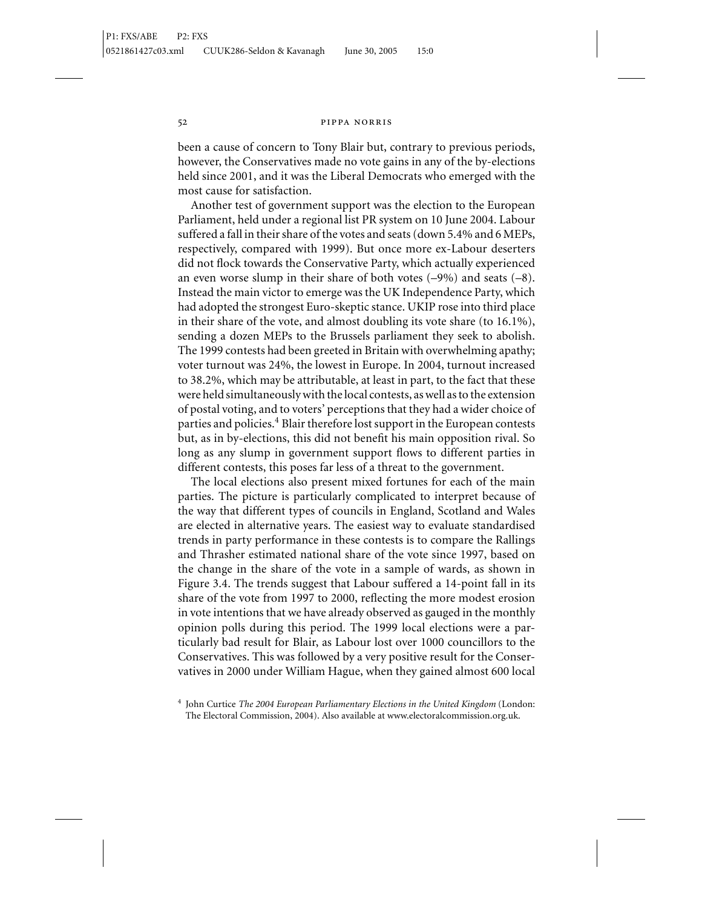#### 52 **pippa NORRIS**

been a cause of concern to Tony Blair but, contrary to previous periods, however, the Conservatives made no vote gains in any of the by-elections held since 2001, and it was the Liberal Democrats who emerged with the most cause for satisfaction.

Another test of government support was the election to the European Parliament, held under a regional list PR system on 10 June 2004. Labour suffered a fall in their share of the votes and seats (down 5.4% and 6 MEPs, respectively, compared with 1999). But once more ex-Labour deserters did not flock towards the Conservative Party, which actually experienced an even worse slump in their share of both votes  $(-9%)$  and seats  $(-8)$ . Instead the main victor to emerge was the UK Independence Party, which had adopted the strongest Euro-skeptic stance. UKIP rose into third place in their share of the vote, and almost doubling its vote share (to 16.1%), sending a dozen MEPs to the Brussels parliament they seek to abolish. The 1999 contests had been greeted in Britain with overwhelming apathy; voter turnout was 24%, the lowest in Europe. In 2004, turnout increased to 38.2%, which may be attributable, at least in part, to the fact that these were held simultaneously with the local contests, as well as to the extension of postal voting, and to voters' perceptions that they had a wider choice of parties and policies.<sup>4</sup> Blair therefore lost support in the European contests but, as in by-elections, this did not benefit his main opposition rival. So long as any slump in government support flows to different parties in different contests, this poses far less of a threat to the government.

The local elections also present mixed fortunes for each of the main parties. The picture is particularly complicated to interpret because of the way that different types of councils in England, Scotland and Wales are elected in alternative years. The easiest way to evaluate standardised trends in party performance in these contests is to compare the Rallings and Thrasher estimated national share of the vote since 1997, based on the change in the share of the vote in a sample of wards, as shown in Figure 3.4. The trends suggest that Labour suffered a 14-point fall in its share of the vote from 1997 to 2000, reflecting the more modest erosion in vote intentions that we have already observed as gauged in the monthly opinion polls during this period. The 1999 local elections were a particularly bad result for Blair, as Labour lost over 1000 councillors to the Conservatives. This was followed by a very positive result for the Conservatives in 2000 under William Hague, when they gained almost 600 local

<sup>4</sup> John Curtice *The 2004 European Parliamentary Elections in the United Kingdom* (London: The Electoral Commission, 2004). Also available at www.electoralcommission.org.uk.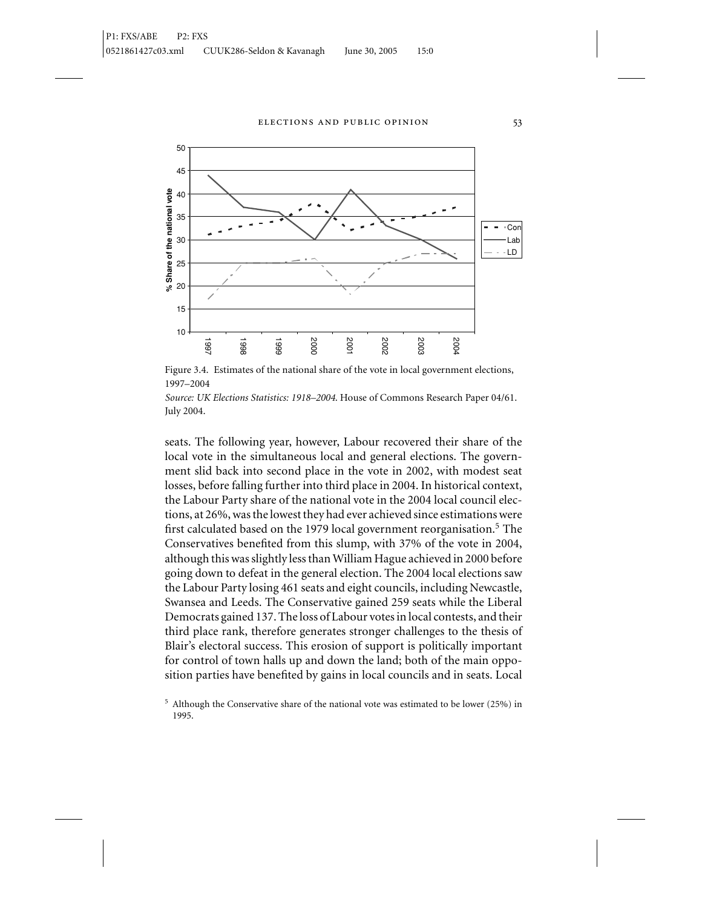

Figure 3.4. Estimates of the national share of the vote in local government elections, 1997–2004

*Source: UK Elections Statistics: 1918–2004*. House of Commons Research Paper 04/61. July 2004.

seats. The following year, however, Labour recovered their share of the local vote in the simultaneous local and general elections. The government slid back into second place in the vote in 2002, with modest seat losses, before falling further into third place in 2004. In historical context, the Labour Party share of the national vote in the 2004 local council elections, at 26%, was the lowest they had ever achieved since estimations were first calculated based on the 1979 local government reorganisation.<sup>5</sup> The Conservatives benefited from this slump, with 37% of the vote in 2004, although this was slightly less than William Hague achieved in 2000 before going down to defeat in the general election. The 2004 local elections saw the Labour Party losing 461 seats and eight councils, including Newcastle, Swansea and Leeds. The Conservative gained 259 seats while the Liberal Democrats gained 137. The loss of Labour votes in local contests, and their third place rank, therefore generates stronger challenges to the thesis of Blair's electoral success. This erosion of support is politically important for control of town halls up and down the land; both of the main opposition parties have benefited by gains in local councils and in seats. Local

<sup>5</sup> Although the Conservative share of the national vote was estimated to be lower (25%) in 1995.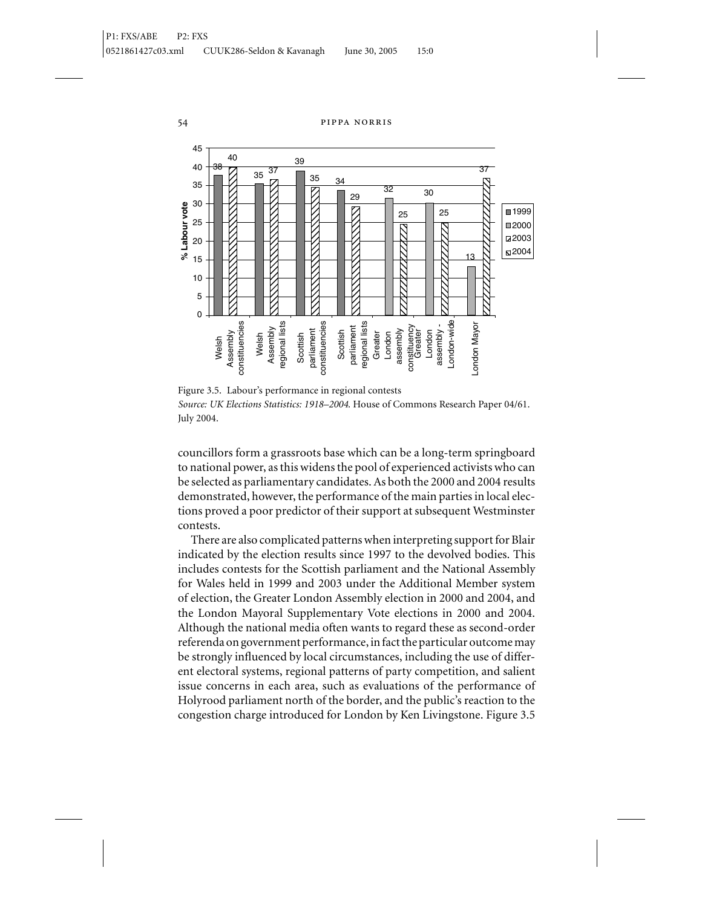

Figure 3.5. Labour's performance in regional contests *Source: UK Elections Statistics: 1918–2004*. House of Commons Research Paper 04/61. July 2004.

councillors form a grassroots base which can be a long-term springboard to national power, as this widens the pool of experienced activists who can be selected as parliamentary candidates. As both the 2000 and 2004 results demonstrated, however, the performance of the main parties in local elections proved a poor predictor of their support at subsequent Westminster contests.

There are also complicated patterns when interpreting support for Blair indicated by the election results since 1997 to the devolved bodies. This includes contests for the Scottish parliament and the National Assembly for Wales held in 1999 and 2003 under the Additional Member system of election, the Greater London Assembly election in 2000 and 2004, and the London Mayoral Supplementary Vote elections in 2000 and 2004. Although the national media often wants to regard these as second-order referenda on government performance, in fact the particular outcome may be strongly influenced by local circumstances, including the use of different electoral systems, regional patterns of party competition, and salient issue concerns in each area, such as evaluations of the performance of Holyrood parliament north of the border, and the public's reaction to the congestion charge introduced for London by Ken Livingstone. Figure 3.5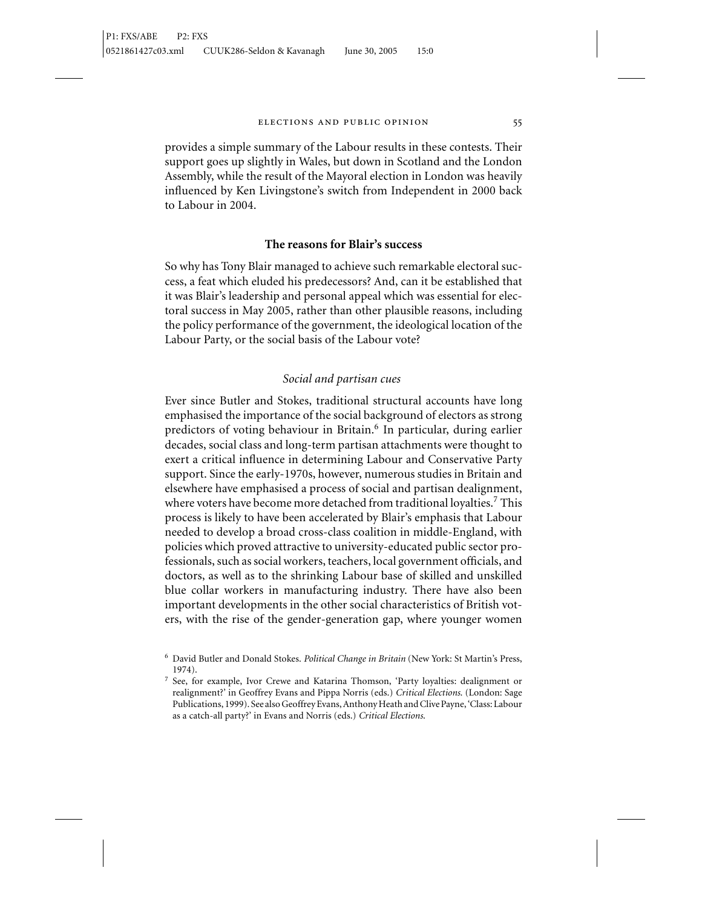provides a simple summary of the Labour results in these contests. Their support goes up slightly in Wales, but down in Scotland and the London Assembly, while the result of the Mayoral election in London was heavily influenced by Ken Livingstone's switch from Independent in 2000 back to Labour in 2004.

### **The reasons for Blair's success**

So why has Tony Blair managed to achieve such remarkable electoral success, a feat which eluded his predecessors? And, can it be established that it was Blair's leadership and personal appeal which was essential for electoral success in May 2005, rather than other plausible reasons, including the policy performance of the government, the ideological location of the Labour Party, or the social basis of the Labour vote?

### *Social and partisan cues*

Ever since Butler and Stokes, traditional structural accounts have long emphasised the importance of the social background of electors as strong predictors of voting behaviour in Britain.<sup>6</sup> In particular, during earlier decades, social class and long-term partisan attachments were thought to exert a critical influence in determining Labour and Conservative Party support. Since the early-1970s, however, numerous studies in Britain and elsewhere have emphasised a process of social and partisan dealignment, where voters have become more detached from traditional loyalties.<sup>7</sup> This process is likely to have been accelerated by Blair's emphasis that Labour needed to develop a broad cross-class coalition in middle-England, with policies which proved attractive to university-educated public sector professionals, such as social workers, teachers, local government officials, and doctors, as well as to the shrinking Labour base of skilled and unskilled blue collar workers in manufacturing industry. There have also been important developments in the other social characteristics of British voters, with the rise of the gender-generation gap, where younger women

<sup>6</sup> David Butler and Donald Stokes. *Political Change in Britain* (New York: St Martin's Press, 1974).

<sup>7</sup> See, for example, Ivor Crewe and Katarina Thomson, 'Party loyalties: dealignment or realignment?' in Geoffrey Evans and Pippa Norris (eds.) *Critical Elections*. (London: Sage Publications, 1999). See also Geoffrey Evans, Anthony Heath and Clive Payne, 'Class: Labour as a catch-all party?' in Evans and Norris (eds.) *Critical Elections*.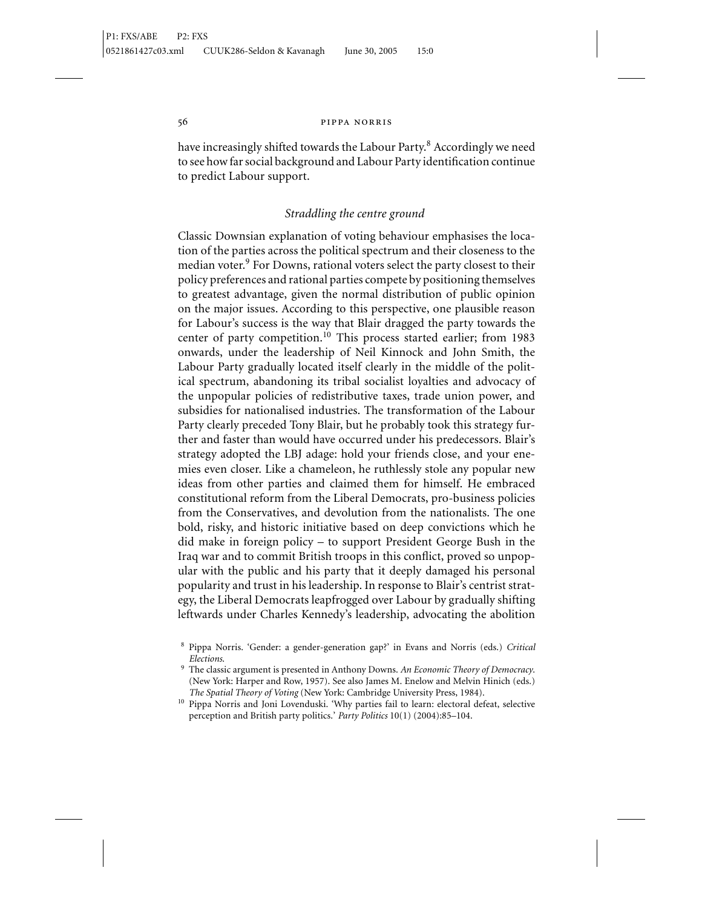have increasingly shifted towards the Labour Party.<sup>8</sup> Accordingly we need to see how far social background and Labour Party identification continue to predict Labour support.

# *Straddling the centre ground*

Classic Downsian explanation of voting behaviour emphasises the location of the parties across the political spectrum and their closeness to the median voter.<sup>9</sup> For Downs, rational voters select the party closest to their policy preferences and rational parties compete by positioning themselves to greatest advantage, given the normal distribution of public opinion on the major issues. According to this perspective, one plausible reason for Labour's success is the way that Blair dragged the party towards the center of party competition.<sup>10</sup> This process started earlier; from 1983 onwards, under the leadership of Neil Kinnock and John Smith, the Labour Party gradually located itself clearly in the middle of the political spectrum, abandoning its tribal socialist loyalties and advocacy of the unpopular policies of redistributive taxes, trade union power, and subsidies for nationalised industries. The transformation of the Labour Party clearly preceded Tony Blair, but he probably took this strategy further and faster than would have occurred under his predecessors. Blair's strategy adopted the LBJ adage: hold your friends close, and your enemies even closer. Like a chameleon, he ruthlessly stole any popular new ideas from other parties and claimed them for himself. He embraced constitutional reform from the Liberal Democrats, pro-business policies from the Conservatives, and devolution from the nationalists. The one bold, risky, and historic initiative based on deep convictions which he did make in foreign policy – to support President George Bush in the Iraq war and to commit British troops in this conflict, proved so unpopular with the public and his party that it deeply damaged his personal popularity and trust in his leadership. In response to Blair's centrist strategy, the Liberal Democrats leapfrogged over Labour by gradually shifting leftwards under Charles Kennedy's leadership, advocating the abolition

<sup>8</sup> Pippa Norris. 'Gender: a gender-generation gap?' in Evans and Norris (eds.) *Critical Elections*.

<sup>9</sup> The classic argument is presented in Anthony Downs. *An Economic Theory of Democracy*. (New York: Harper and Row, 1957). See also James M. Enelow and Melvin Hinich (eds.) *The Spatial Theory of Voting* (New York: Cambridge University Press, 1984).

<sup>&</sup>lt;sup>10</sup> Pippa Norris and Joni Lovenduski. 'Why parties fail to learn: electoral defeat, selective perception and British party politics.' *Party Politics* 10(1) (2004):85–104.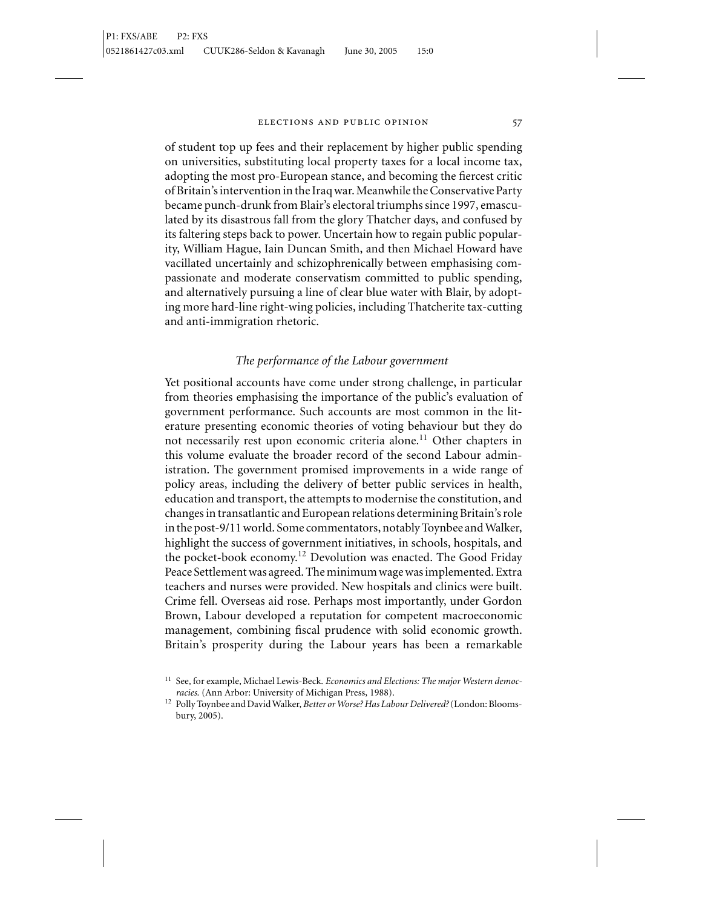of student top up fees and their replacement by higher public spending on universities, substituting local property taxes for a local income tax, adopting the most pro-European stance, and becoming the fiercest critic of Britain's intervention in the Iraq war. Meanwhile the Conservative Party became punch-drunk from Blair's electoral triumphs since 1997, emasculated by its disastrous fall from the glory Thatcher days, and confused by its faltering steps back to power. Uncertain how to regain public popularity, William Hague, Iain Duncan Smith, and then Michael Howard have vacillated uncertainly and schizophrenically between emphasising compassionate and moderate conservatism committed to public spending, and alternatively pursuing a line of clear blue water with Blair, by adopting more hard-line right-wing policies, including Thatcherite tax-cutting and anti-immigration rhetoric.

### *The performance of the Labour government*

Yet positional accounts have come under strong challenge, in particular from theories emphasising the importance of the public's evaluation of government performance. Such accounts are most common in the literature presenting economic theories of voting behaviour but they do not necessarily rest upon economic criteria alone.<sup>11</sup> Other chapters in this volume evaluate the broader record of the second Labour administration. The government promised improvements in a wide range of policy areas, including the delivery of better public services in health, education and transport, the attempts to modernise the constitution, and changes in transatlantic and European relations determining Britain's role in the post-9/11 world. Some commentators, notably Toynbee and Walker, highlight the success of government initiatives, in schools, hospitals, and the pocket-book economy.<sup>12</sup> Devolution was enacted. The Good Friday Peace Settlement was agreed. The minimum wage was implemented. Extra teachers and nurses were provided. New hospitals and clinics were built. Crime fell. Overseas aid rose. Perhaps most importantly, under Gordon Brown, Labour developed a reputation for competent macroeconomic management, combining fiscal prudence with solid economic growth. Britain's prosperity during the Labour years has been a remarkable

<sup>&</sup>lt;sup>11</sup> See, for example, Michael Lewis-Beck. *Economics and Elections: The major Western democracies*. (Ann Arbor: University of Michigan Press, 1988).

<sup>12</sup> Polly Toynbee and David Walker, *Better or Worse? Has Labour Delivered?*(London: Bloomsbury, 2005).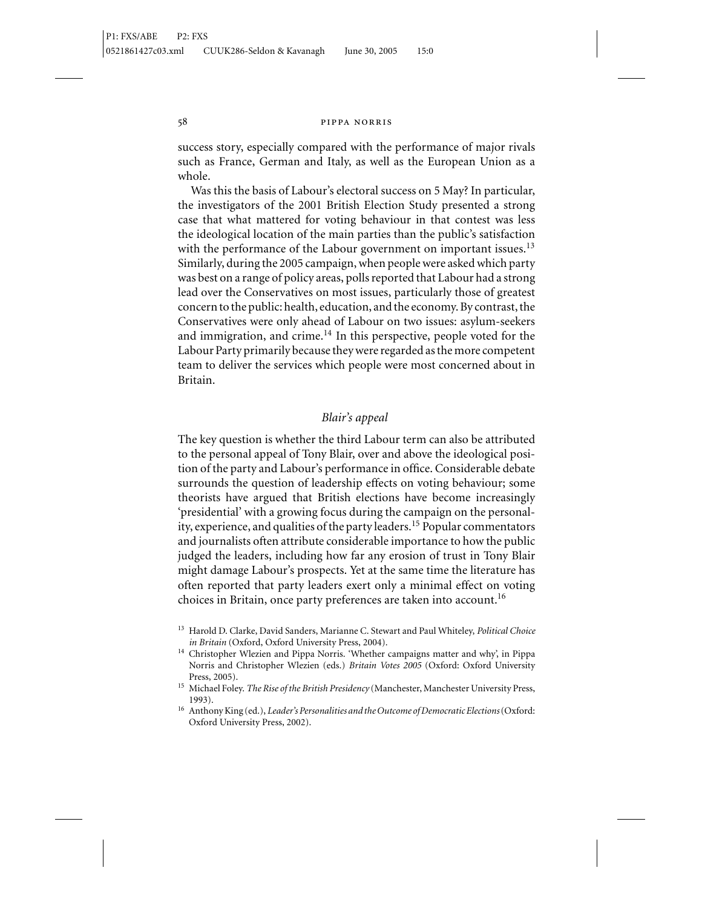success story, especially compared with the performance of major rivals such as France, German and Italy, as well as the European Union as a whole.

Was this the basis of Labour's electoral success on 5 May? In particular, the investigators of the 2001 British Election Study presented a strong case that what mattered for voting behaviour in that contest was less the ideological location of the main parties than the public's satisfaction with the performance of the Labour government on important issues.<sup>13</sup> Similarly, during the 2005 campaign, when people were asked which party was best on a range of policy areas, polls reported that Labour had a strong lead over the Conservatives on most issues, particularly those of greatest concern to the public: health, education, and the economy. By contrast, the Conservatives were only ahead of Labour on two issues: asylum-seekers and immigration, and crime. $14$  In this perspective, people voted for the Labour Party primarily because they were regarded as the more competent team to deliver the services which people were most concerned about in Britain.

# *Blair's appeal*

The key question is whether the third Labour term can also be attributed to the personal appeal of Tony Blair, over and above the ideological position of the party and Labour's performance in office. Considerable debate surrounds the question of leadership effects on voting behaviour; some theorists have argued that British elections have become increasingly 'presidential' with a growing focus during the campaign on the personality, experience, and qualities of the party leaders.<sup>15</sup> Popular commentators and journalists often attribute considerable importance to how the public judged the leaders, including how far any erosion of trust in Tony Blair might damage Labour's prospects. Yet at the same time the literature has often reported that party leaders exert only a minimal effect on voting choices in Britain, once party preferences are taken into account.<sup>16</sup>

<sup>13</sup> Harold D. Clarke, David Sanders, Marianne C. Stewart and Paul Whiteley, *Political Choice in Britain* (Oxford, Oxford University Press, 2004).

<sup>&</sup>lt;sup>14</sup> Christopher Wlezien and Pippa Norris. 'Whether campaigns matter and why', in Pippa Norris and Christopher Wlezien (eds.) *Britain Votes 2005* (Oxford: Oxford University Press, 2005).

<sup>15</sup> Michael Foley. *The Rise of the British Presidency* (Manchester, Manchester University Press, 1993).

<sup>16</sup> Anthony King (ed.), *Leader's Personalities and the Outcome of Democratic Elections*(Oxford: Oxford University Press, 2002).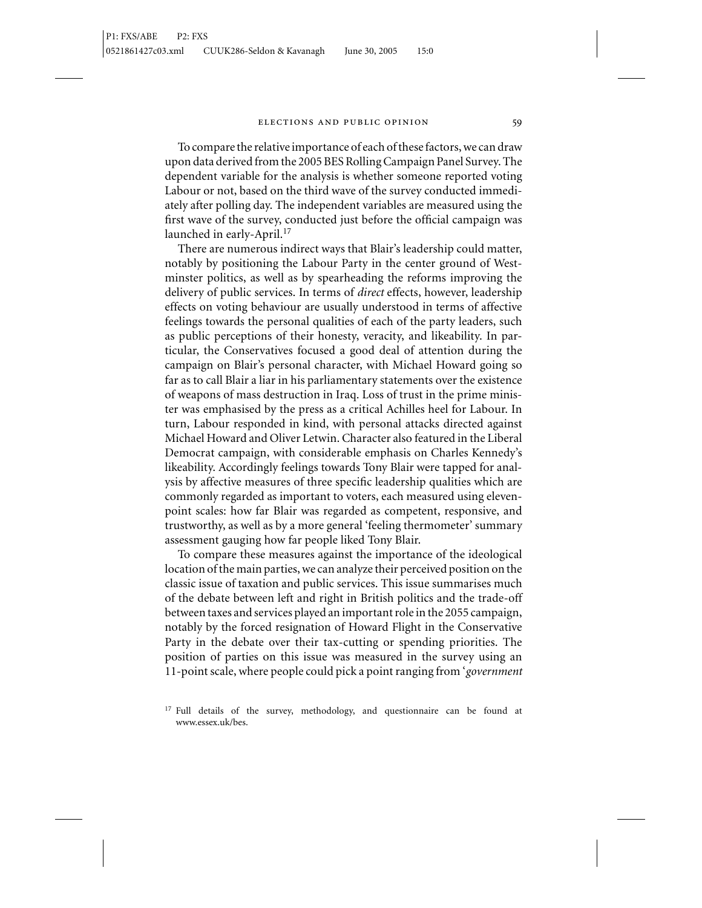To compare the relative importance of each of these factors, we can draw upon data derived from the 2005 BES Rolling Campaign Panel Survey. The dependent variable for the analysis is whether someone reported voting Labour or not, based on the third wave of the survey conducted immediately after polling day. The independent variables are measured using the first wave of the survey, conducted just before the official campaign was launched in early-April.<sup>17</sup>

There are numerous indirect ways that Blair's leadership could matter, notably by positioning the Labour Party in the center ground of Westminster politics, as well as by spearheading the reforms improving the delivery of public services. In terms of *direct* effects, however, leadership effects on voting behaviour are usually understood in terms of affective feelings towards the personal qualities of each of the party leaders, such as public perceptions of their honesty, veracity, and likeability. In particular, the Conservatives focused a good deal of attention during the campaign on Blair's personal character, with Michael Howard going so far as to call Blair a liar in his parliamentary statements over the existence of weapons of mass destruction in Iraq. Loss of trust in the prime minister was emphasised by the press as a critical Achilles heel for Labour. In turn, Labour responded in kind, with personal attacks directed against Michael Howard and Oliver Letwin. Character also featured in the Liberal Democrat campaign, with considerable emphasis on Charles Kennedy's likeability. Accordingly feelings towards Tony Blair were tapped for analysis by affective measures of three specific leadership qualities which are commonly regarded as important to voters, each measured using elevenpoint scales: how far Blair was regarded as competent, responsive, and trustworthy, as well as by a more general 'feeling thermometer' summary assessment gauging how far people liked Tony Blair.

To compare these measures against the importance of the ideological location of the main parties, we can analyze their perceived position on the classic issue of taxation and public services. This issue summarises much of the debate between left and right in British politics and the trade-off between taxes and services played an important role in the 2055 campaign, notably by the forced resignation of Howard Flight in the Conservative Party in the debate over their tax-cutting or spending priorities. The position of parties on this issue was measured in the survey using an 11-point scale, where people could pick a point ranging from '*government*

<sup>&</sup>lt;sup>17</sup> Full details of the survey, methodology, and questionnaire can be found at www.essex.uk/bes.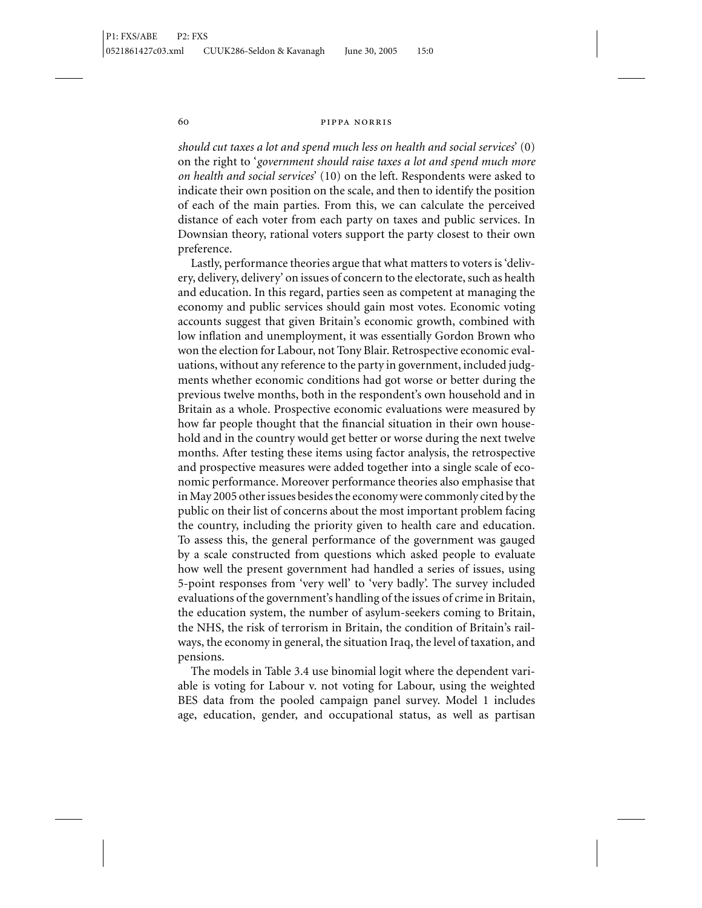*should cut taxes a lot and spend much less on health and social services*' (0) on the right to '*government should raise taxes a lot and spend much more on health and social services*' (10) on the left. Respondents were asked to indicate their own position on the scale, and then to identify the position of each of the main parties. From this, we can calculate the perceived distance of each voter from each party on taxes and public services. In Downsian theory, rational voters support the party closest to their own preference.

Lastly, performance theories argue that what matters to voters is 'delivery, delivery, delivery' on issues of concern to the electorate, such as health and education. In this regard, parties seen as competent at managing the economy and public services should gain most votes. Economic voting accounts suggest that given Britain's economic growth, combined with low inflation and unemployment, it was essentially Gordon Brown who won the election for Labour, not Tony Blair. Retrospective economic evaluations, without any reference to the party in government, included judgments whether economic conditions had got worse or better during the previous twelve months, both in the respondent's own household and in Britain as a whole. Prospective economic evaluations were measured by how far people thought that the financial situation in their own household and in the country would get better or worse during the next twelve months. After testing these items using factor analysis, the retrospective and prospective measures were added together into a single scale of economic performance. Moreover performance theories also emphasise that in May 2005 other issues besides the economy were commonly cited by the public on their list of concerns about the most important problem facing the country, including the priority given to health care and education. To assess this, the general performance of the government was gauged by a scale constructed from questions which asked people to evaluate how well the present government had handled a series of issues, using 5-point responses from 'very well' to 'very badly'. The survey included evaluations of the government's handling of the issues of crime in Britain, the education system, the number of asylum-seekers coming to Britain, the NHS, the risk of terrorism in Britain, the condition of Britain's railways, the economy in general, the situation Iraq, the level of taxation, and pensions.

The models in Table 3.4 use binomial logit where the dependent variable is voting for Labour v. not voting for Labour, using the weighted BES data from the pooled campaign panel survey. Model 1 includes age, education, gender, and occupational status, as well as partisan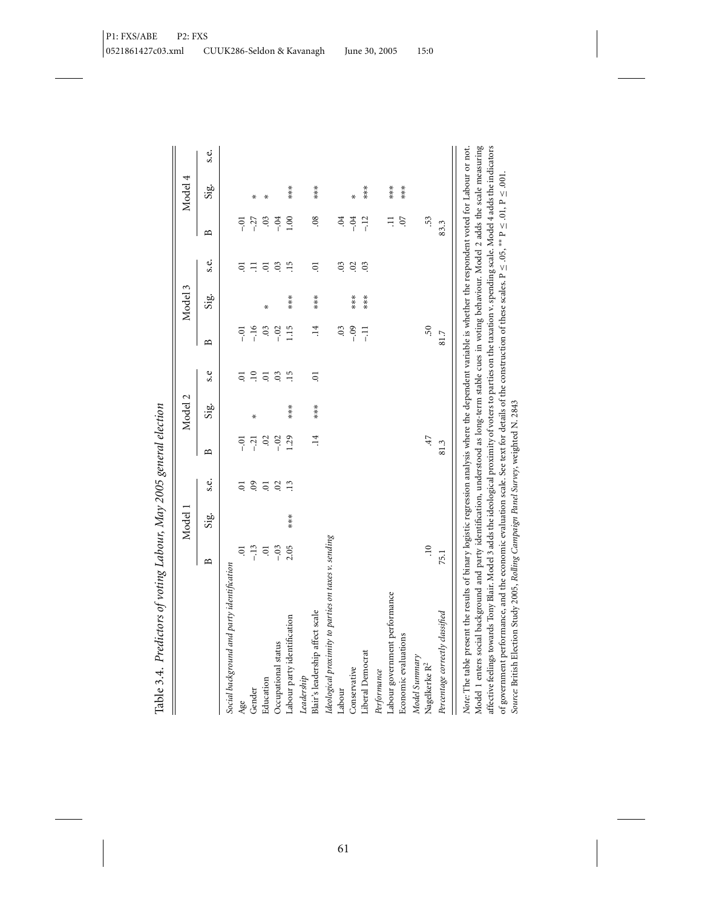|                                                      |                | Model 1 |                 |                 | Model 2 |                 |                | Model 3 |                 |                  | Model 4 |      |
|------------------------------------------------------|----------------|---------|-----------------|-----------------|---------|-----------------|----------------|---------|-----------------|------------------|---------|------|
|                                                      | $\overline{B}$ | Sig.    | s.e.            | B               | Sig.    | s.e             | $\overline{B}$ | Sig.    | s.e.            | B                | Sig.    | s.e. |
| Social background and party identification           |                |         |                 |                 |         |                 |                |         |                 |                  |         |      |
| Age                                                  | S.             |         | $\overline{a}$  | $-0$            |         | Ξ.              | $-0$           |         | S.              | $-0.1$           |         |      |
| Gender                                               | $-13$          |         | $\overline{6}$  | $-21$           | ⋇       | $\overline{10}$ | $-16$          |         | Ξ               | $-27$            | ₩       |      |
| Education                                            | 5.             |         | $\Xi$           | 02              |         | $\Xi$           | .03            | ⋇       | 5.              | 03               | ⋇       |      |
| Occupational status                                  | $-03$          |         | $\overline{0}$  | $-02$           |         | 03              | $-0.02$        |         | .03             | $-0.4$           |         |      |
| Labour party identification                          | 2.05           | $***$   | $\overline{13}$ | 1.29            | $***$   | $\overline{15}$ | 1.15           | $***$   | $\overline{15}$ | 1.00             | $***$   |      |
| Leadership                                           |                |         |                 |                 |         |                 |                |         |                 |                  |         |      |
| Blair's leadership affect scale                      |                |         |                 | $\overline{14}$ | $***$   | ō.              | $\ddot{=}$     | $***$   | io.             | 08               | ***     |      |
| Ideological proximity to parties on taxes v. sending |                |         |                 |                 |         |                 |                |         |                 |                  |         |      |
| Labour                                               |                |         |                 |                 |         |                 | 0 <sup>3</sup> |         | 03              | 04               |         |      |
| Conservative                                         |                |         |                 |                 |         |                 | $-0.9$         | $***$   | $\overline{0}$  | $-0.4$           | ⋇       |      |
| Liberal Democrat                                     |                |         |                 |                 |         |                 | 류              | $***$   | $\overline{0}$  | $-12$            | ***     |      |
| Performance                                          |                |         |                 |                 |         |                 |                |         |                 |                  |         |      |
| Labour government performance                        |                |         |                 |                 |         |                 |                |         |                 | Ξ                | ***     |      |
| Economic evaluations                                 |                |         |                 |                 |         |                 |                |         |                 | $\overline{0}$ . | $***$   |      |
| Model Summary                                        |                |         |                 |                 |         |                 |                |         |                 |                  |         |      |
| Nagelkerke R <sup>2</sup>                            | $\ddot{=}$     |         |                 | 47              |         |                 | 50             |         |                 | 53.              |         |      |
| Percentage correctly classified                      | 75.1           |         |                 | 81.3            |         |                 | 81.7           |         |                 | 83.3             |         |      |

of government performance, and the economic evaluation scale. See text for details of the construction of these scales. P

*Source:* British Election Study 2005, *Rolling Campaign Panel Survey*, weighted N. 2843

≤

 $\leq .05$ , \*\* P  $\leq .01$ , P

≤ .001.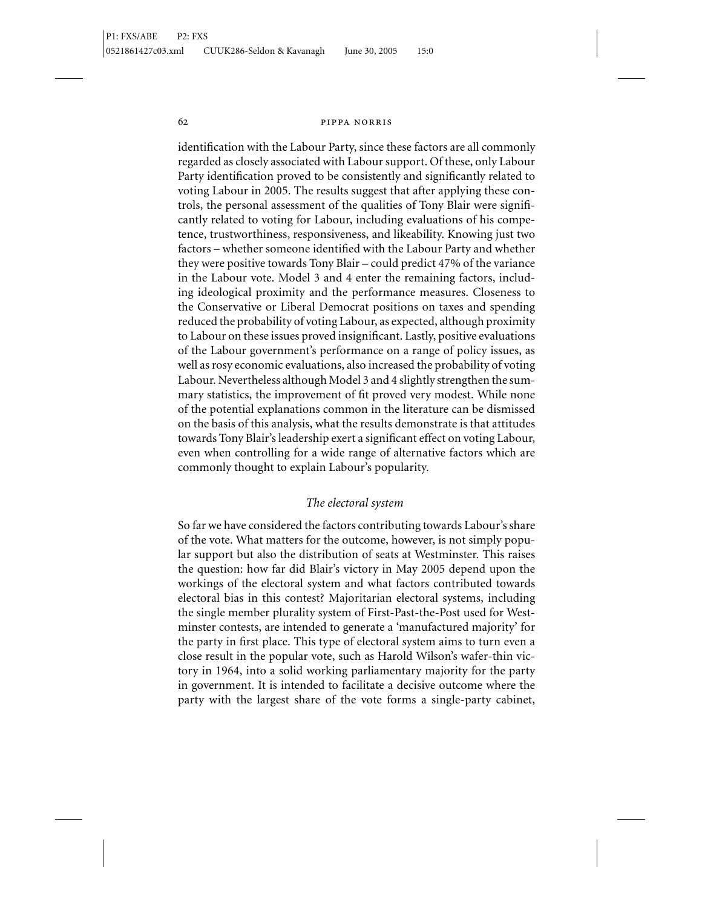identification with the Labour Party, since these factors are all commonly regarded as closely associated with Labour support. Of these, only Labour Party identification proved to be consistently and significantly related to voting Labour in 2005. The results suggest that after applying these controls, the personal assessment of the qualities of Tony Blair were significantly related to voting for Labour, including evaluations of his competence, trustworthiness, responsiveness, and likeability. Knowing just two factors – whether someone identified with the Labour Party and whether they were positive towards Tony Blair – could predict 47% of the variance in the Labour vote. Model 3 and 4 enter the remaining factors, including ideological proximity and the performance measures. Closeness to the Conservative or Liberal Democrat positions on taxes and spending reduced the probability of voting Labour, as expected, although proximity to Labour on these issues proved insignificant. Lastly, positive evaluations of the Labour government's performance on a range of policy issues, as well as rosy economic evaluations, also increased the probability of voting Labour. Nevertheless although Model 3 and 4 slightly strengthen the summary statistics, the improvement of fit proved very modest. While none of the potential explanations common in the literature can be dismissed on the basis of this analysis, what the results demonstrate is that attitudes towards Tony Blair's leadership exert a significant effect on voting Labour, even when controlling for a wide range of alternative factors which are commonly thought to explain Labour's popularity.

### *The electoral system*

So far we have considered the factors contributing towards Labour's share of the vote. What matters for the outcome, however, is not simply popular support but also the distribution of seats at Westminster. This raises the question: how far did Blair's victory in May 2005 depend upon the workings of the electoral system and what factors contributed towards electoral bias in this contest? Majoritarian electoral systems, including the single member plurality system of First-Past-the-Post used for Westminster contests, are intended to generate a 'manufactured majority' for the party in first place. This type of electoral system aims to turn even a close result in the popular vote, such as Harold Wilson's wafer-thin victory in 1964, into a solid working parliamentary majority for the party in government. It is intended to facilitate a decisive outcome where the party with the largest share of the vote forms a single-party cabinet,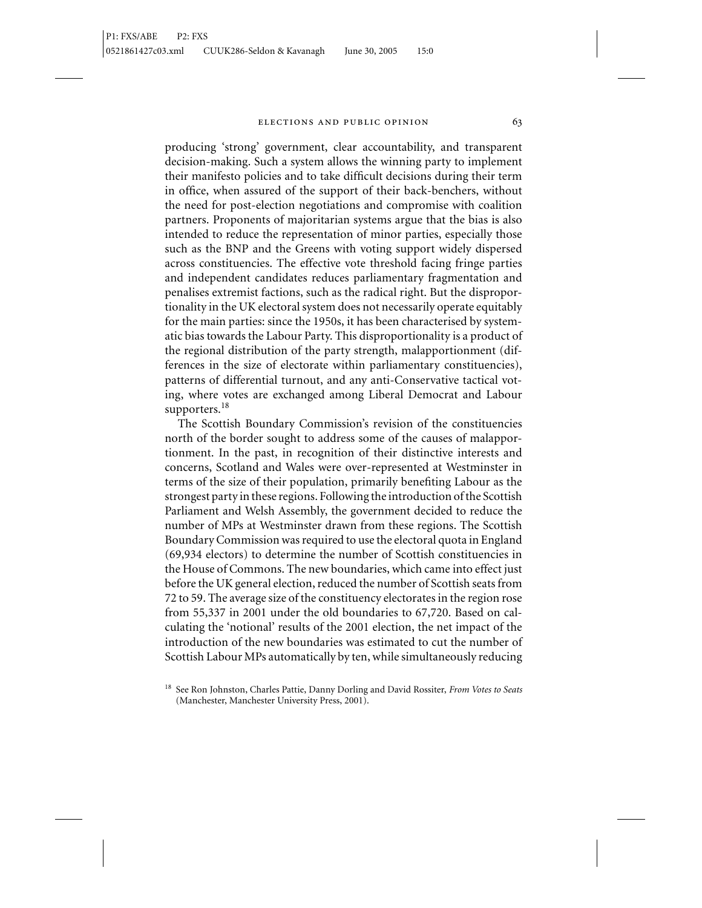producing 'strong' government, clear accountability, and transparent decision-making. Such a system allows the winning party to implement their manifesto policies and to take difficult decisions during their term in office, when assured of the support of their back-benchers, without the need for post-election negotiations and compromise with coalition partners. Proponents of majoritarian systems argue that the bias is also intended to reduce the representation of minor parties, especially those such as the BNP and the Greens with voting support widely dispersed across constituencies. The effective vote threshold facing fringe parties and independent candidates reduces parliamentary fragmentation and penalises extremist factions, such as the radical right. But the disproportionality in the UK electoral system does not necessarily operate equitably for the main parties: since the 1950s, it has been characterised by systematic bias towards the Labour Party. This disproportionality is a product of the regional distribution of the party strength, malapportionment (differences in the size of electorate within parliamentary constituencies), patterns of differential turnout, and any anti-Conservative tactical voting, where votes are exchanged among Liberal Democrat and Labour supporters.<sup>18</sup>

The Scottish Boundary Commission's revision of the constituencies north of the border sought to address some of the causes of malapportionment. In the past, in recognition of their distinctive interests and concerns, Scotland and Wales were over-represented at Westminster in terms of the size of their population, primarily benefiting Labour as the strongest party in these regions. Following the introduction of the Scottish Parliament and Welsh Assembly, the government decided to reduce the number of MPs at Westminster drawn from these regions. The Scottish Boundary Commission was required to use the electoral quota in England (69,934 electors) to determine the number of Scottish constituencies in the House of Commons. The new boundaries, which came into effect just before the UK general election, reduced the number of Scottish seats from 72 to 59. The average size of the constituency electorates in the region rose from 55,337 in 2001 under the old boundaries to 67,720. Based on calculating the 'notional' results of the 2001 election, the net impact of the introduction of the new boundaries was estimated to cut the number of Scottish Labour MPs automatically by ten, while simultaneously reducing

<sup>18</sup> See Ron Johnston, Charles Pattie, Danny Dorling and David Rossiter, *From Votes to Seats* (Manchester, Manchester University Press, 2001).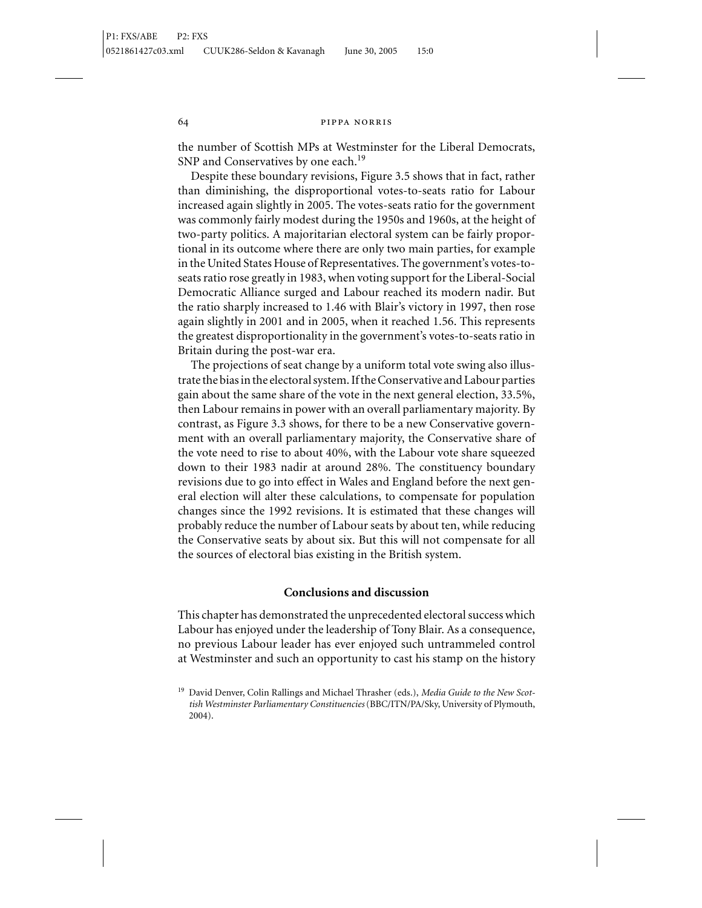the number of Scottish MPs at Westminster for the Liberal Democrats, SNP and Conservatives by one each.<sup>19</sup>

Despite these boundary revisions, Figure 3.5 shows that in fact, rather than diminishing, the disproportional votes-to-seats ratio for Labour increased again slightly in 2005. The votes-seats ratio for the government was commonly fairly modest during the 1950s and 1960s, at the height of two-party politics. A majoritarian electoral system can be fairly proportional in its outcome where there are only two main parties, for example in the United States House of Representatives. The government's votes-toseats ratio rose greatly in 1983, when voting support for the Liberal-Social Democratic Alliance surged and Labour reached its modern nadir. But the ratio sharply increased to 1.46 with Blair's victory in 1997, then rose again slightly in 2001 and in 2005, when it reached 1.56. This represents the greatest disproportionality in the government's votes-to-seats ratio in Britain during the post-war era.

The projections of seat change by a uniform total vote swing also illustrate the bias in the electoral system. If the Conservative and Labour parties gain about the same share of the vote in the next general election, 33.5%, then Labour remains in power with an overall parliamentary majority. By contrast, as Figure 3.3 shows, for there to be a new Conservative government with an overall parliamentary majority, the Conservative share of the vote need to rise to about 40%, with the Labour vote share squeezed down to their 1983 nadir at around 28%. The constituency boundary revisions due to go into effect in Wales and England before the next general election will alter these calculations, to compensate for population changes since the 1992 revisions. It is estimated that these changes will probably reduce the number of Labour seats by about ten, while reducing the Conservative seats by about six. But this will not compensate for all the sources of electoral bias existing in the British system.

# **Conclusions and discussion**

This chapter has demonstrated the unprecedented electoral success which Labour has enjoyed under the leadership of Tony Blair. As a consequence, no previous Labour leader has ever enjoyed such untrammeled control at Westminster and such an opportunity to cast his stamp on the history

<sup>19</sup> David Denver, Colin Rallings and Michael Thrasher (eds.), *Media Guide to the New Scottish Westminster Parliamentary Constituencies* (BBC/ITN/PA/Sky, University of Plymouth, 2004).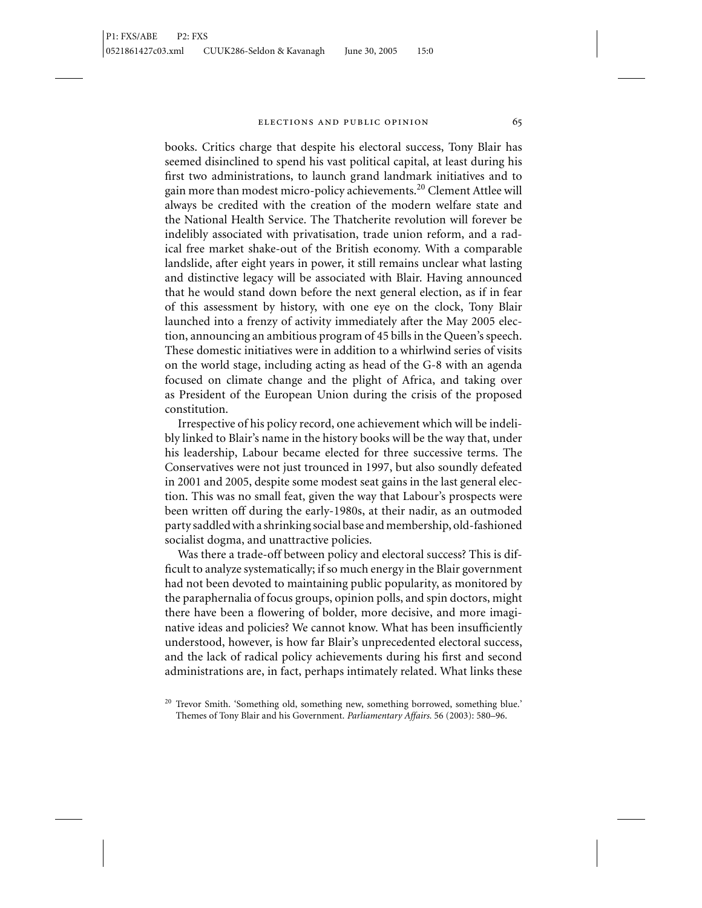books. Critics charge that despite his electoral success, Tony Blair has seemed disinclined to spend his vast political capital, at least during his first two administrations, to launch grand landmark initiatives and to gain more than modest micro-policy achievements.<sup>20</sup> Clement Attlee will always be credited with the creation of the modern welfare state and the National Health Service. The Thatcherite revolution will forever be indelibly associated with privatisation, trade union reform, and a radical free market shake-out of the British economy. With a comparable landslide, after eight years in power, it still remains unclear what lasting and distinctive legacy will be associated with Blair. Having announced that he would stand down before the next general election, as if in fear of this assessment by history, with one eye on the clock, Tony Blair launched into a frenzy of activity immediately after the May 2005 election, announcing an ambitious program of 45 bills in the Queen's speech. These domestic initiatives were in addition to a whirlwind series of visits on the world stage, including acting as head of the G-8 with an agenda focused on climate change and the plight of Africa, and taking over as President of the European Union during the crisis of the proposed constitution.

Irrespective of his policy record, one achievement which will be indelibly linked to Blair's name in the history books will be the way that, under his leadership, Labour became elected for three successive terms. The Conservatives were not just trounced in 1997, but also soundly defeated in 2001 and 2005, despite some modest seat gains in the last general election. This was no small feat, given the way that Labour's prospects were been written off during the early-1980s, at their nadir, as an outmoded party saddled with a shrinking social base and membership, old-fashioned socialist dogma, and unattractive policies.

Was there a trade-off between policy and electoral success? This is difficult to analyze systematically; if so much energy in the Blair government had not been devoted to maintaining public popularity, as monitored by the paraphernalia of focus groups, opinion polls, and spin doctors, might there have been a flowering of bolder, more decisive, and more imaginative ideas and policies? We cannot know. What has been insufficiently understood, however, is how far Blair's unprecedented electoral success, and the lack of radical policy achievements during his first and second administrations are, in fact, perhaps intimately related. What links these

<sup>&</sup>lt;sup>20</sup> Trevor Smith. 'Something old, something new, something borrowed, something blue.' Themes of Tony Blair and his Government. *Parliamentary Affairs.* 56 (2003): 580–96.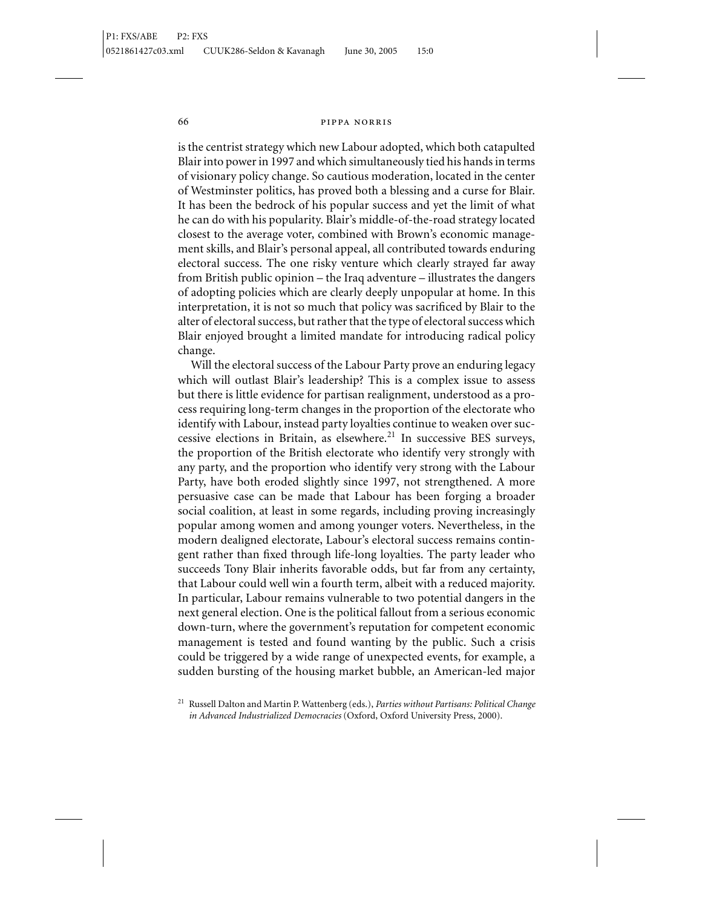is the centrist strategy which new Labour adopted, which both catapulted Blair into power in 1997 and which simultaneously tied his hands in terms of visionary policy change. So cautious moderation, located in the center of Westminster politics, has proved both a blessing and a curse for Blair. It has been the bedrock of his popular success and yet the limit of what he can do with his popularity. Blair's middle-of-the-road strategy located closest to the average voter, combined with Brown's economic management skills, and Blair's personal appeal, all contributed towards enduring electoral success. The one risky venture which clearly strayed far away from British public opinion – the Iraq adventure – illustrates the dangers of adopting policies which are clearly deeply unpopular at home. In this interpretation, it is not so much that policy was sacrificed by Blair to the alter of electoral success, but rather that the type of electoral success which Blair enjoyed brought a limited mandate for introducing radical policy change.

Will the electoral success of the Labour Party prove an enduring legacy which will outlast Blair's leadership? This is a complex issue to assess but there is little evidence for partisan realignment, understood as a process requiring long-term changes in the proportion of the electorate who identify with Labour, instead party loyalties continue to weaken over successive elections in Britain, as elsewhere. $21$  In successive BES surveys, the proportion of the British electorate who identify very strongly with any party, and the proportion who identify very strong with the Labour Party, have both eroded slightly since 1997, not strengthened. A more persuasive case can be made that Labour has been forging a broader social coalition, at least in some regards, including proving increasingly popular among women and among younger voters. Nevertheless, in the modern dealigned electorate, Labour's electoral success remains contingent rather than fixed through life-long loyalties. The party leader who succeeds Tony Blair inherits favorable odds, but far from any certainty, that Labour could well win a fourth term, albeit with a reduced majority. In particular, Labour remains vulnerable to two potential dangers in the next general election. One is the political fallout from a serious economic down-turn, where the government's reputation for competent economic management is tested and found wanting by the public. Such a crisis could be triggered by a wide range of unexpected events, for example, a sudden bursting of the housing market bubble, an American-led major

<sup>21</sup> Russell Dalton and Martin P. Wattenberg (eds.), *Parties without Partisans: Political Change in Advanced Industrialized Democracies* (Oxford, Oxford University Press, 2000).